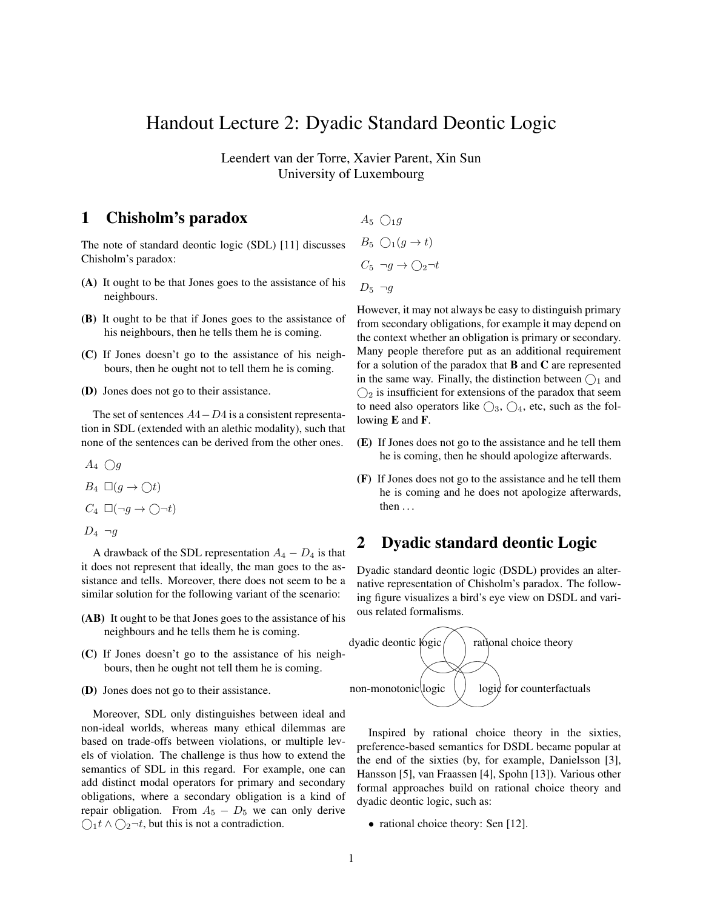# Handout Lecture 2: Dyadic Standard Deontic Logic

Leendert van der Torre, Xavier Parent, Xin Sun University of Luxembourg

# 1 Chisholm's paradox

The note of standard deontic logic (SDL) [11] discusses Chisholm's paradox:

- (A) It ought to be that Jones goes to the assistance of his neighbours.
- (B) It ought to be that if Jones goes to the assistance of his neighbours, then he tells them he is coming.
- (C) If Jones doesn't go to the assistance of his neighbours, then he ought not to tell them he is coming.
- (D) Jones does not go to their assistance.

The set of sentences  $A4-D4$  is a consistent representation in SDL (extended with an alethic modality), such that none of the sentences can be derived from the other ones.

 $A_4 \bigcirc g$ 

- $B_4 \square (g \rightarrow \bigcirc t)$
- $C_4 \Box(\neg g \to \bigcirc \neg t)$
- $D_4 \neg q$

A drawback of the SDL representation  $A_4 - D_4$  is that it does not represent that ideally, the man goes to the assistance and tells. Moreover, there does not seem to be a similar solution for the following variant of the scenario:

- (AB) It ought to be that Jones goes to the assistance of his neighbours and he tells them he is coming.
- (C) If Jones doesn't go to the assistance of his neighbours, then he ought not tell them he is coming.
- (D) Jones does not go to their assistance.

Moreover, SDL only distinguishes between ideal and non-ideal worlds, whereas many ethical dilemmas are based on trade-offs between violations, or multiple levels of violation. The challenge is thus how to extend the semantics of SDL in this regard. For example, one can add distinct modal operators for primary and secondary obligations, where a secondary obligation is a kind of repair obligation. From  $A_5 - D_5$  we can only derive  $\bigcirc_1 t \wedge \bigcirc_2 \neg t$ , but this is not a contradiction.

 $A_5 \bigcap_1 g$  $B_5 \cap (g \to t)$  $C_5 \neg g \rightarrow \bigcirc_2 \neg t$  $D_5 \neg q$ 

However, it may not always be easy to distinguish primary from secondary obligations, for example it may depend on the context whether an obligation is primary or secondary. Many people therefore put as an additional requirement for a solution of the paradox that  $B$  and  $C$  are represented in the same way. Finally, the distinction between  $\bigcap_1$  and  $\bigcirc$  is insufficient for extensions of the paradox that seem to need also operators like  $\bigcirc_3$ ,  $\bigcirc_4$ , etc, such as the following E and F.

- (E) If Jones does not go to the assistance and he tell them he is coming, then he should apologize afterwards.
- (F) If Jones does not go to the assistance and he tell them he is coming and he does not apologize afterwards, then . . .

# 2 Dyadic standard deontic Logic

Dyadic standard deontic logic (DSDL) provides an alternative representation of Chisholm's paradox. The following figure visualizes a bird's eye view on DSDL and various related formalisms.



Inspired by rational choice theory in the sixties, preference-based semantics for DSDL became popular at the end of the sixties (by, for example, Danielsson [3], Hansson [5], van Fraassen [4], Spohn [13]). Various other formal approaches build on rational choice theory and dyadic deontic logic, such as:

• rational choice theory: Sen [12].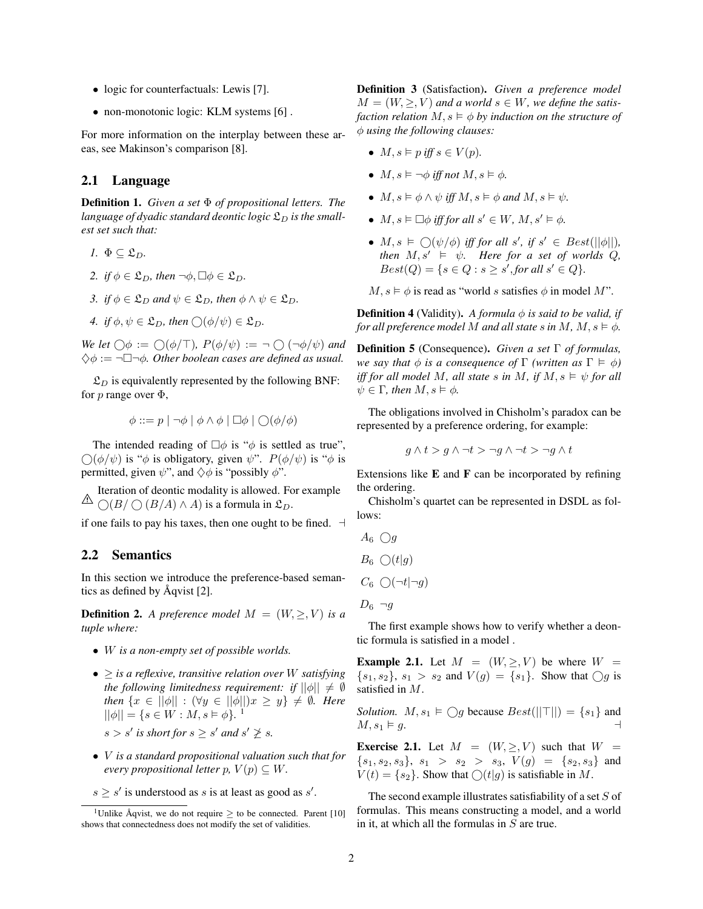- logic for counterfactuals: Lewis [7].
- non-monotonic logic: KLM systems [6].

For more information on the interplay between these areas, see Makinson's comparison [8].

#### 2.1 Language

Definition 1. *Given a set* Φ *of propositional letters. The* language of dyadic standard deontic logic  $\mathfrak{L}_D$  is the small*est set such that:*

- *1.*  $\Phi \subseteq \mathfrak{L}_D$ .
- *2. if*  $\phi \in \mathfrak{L}_D$ *, then*  $\neg \phi$ *,*  $\Box \phi \in \mathfrak{L}_D$ *.*
- *3.* if  $\phi \in \mathfrak{L}_D$  and  $\psi \in \mathfrak{L}_D$ , then  $\phi \wedge \psi \in \mathfrak{L}_D$ .
- *4. if*  $\phi, \psi \in \mathfrak{L}_D$ *, then*  $\bigcirc$   $(\phi/\psi) \in \mathfrak{L}_D$ *.*

*We let*  $\bigcap \phi := \bigcap (\phi/\top), P(\phi/\psi) := \neg \bigcap (\neg \phi/\psi)$  *and*  $\diamondsuit \phi := \neg \Box \neg \phi$ . Other boolean cases are defined as usual.

 $\mathfrak{L}_D$  is equivalently represented by the following BNF: for p range over  $\Phi$ ,

$$
\phi ::= p | \neg \phi | \phi \land \phi | \Box \phi | \bigcirc (\phi/\phi)
$$

The intended reading of  $\Box \phi$  is " $\phi$  is settled as true",  $\bigcirc$ ( $\phi/\psi$ ) is " $\phi$  is obligatory, given  $\psi$ ".  $P(\phi/\psi)$  is " $\phi$  is permitted, given  $\psi$ ", and  $\Diamond \phi$  is "possibly  $\phi$ ".

 $\triangle$ Iteration of deontic modality is allowed. For example  $\bigcap (B/\bigcap (B/A) \wedge A)$  is a formula in  $\mathfrak{L}_D$ .

if one fails to pay his taxes, then one ought to be fined.  $\exists$ 

#### 2.2 Semantics

In this section we introduce the preference-based semantics as defined by  $\text{Aqvist}$  [2].

**Definition 2.** A preference model  $M = (W, \geq, V)$  is a *tuple where:*

- W *is a non-empty set of possible worlds.*
- $\bullet \geq i$ *s a reflexive, transitive relation over W satisfying the following limitedness requirement: if*  $||\phi|| \neq \emptyset$ *then*  $\{x \in ||\phi|| : (\forall y \in ||\phi||)x \geq y\} \neq \emptyset$ . *Here*  $||\phi|| = \{s \in W : M, s \models \phi\}.$ 1  $s > s'$  is short for  $s \geq s'$  and  $s' \not\geq s$ .
- V *is a standard propositional valuation such that for every propositional letter*  $p, V(p) \subseteq W$ .
- $s \geq s'$  is understood as s is at least as good as s'.

Definition 3 (Satisfaction). *Given a preference model*  $M = (W, \geq, V)$  and a world  $s \in W$ , we define the satis*faction relation*  $M, s \models \phi$  *by induction on the structure of* φ *using the following clauses:*

- $M, s \models p$  *iff*  $s \in V(p)$ *.*
- $M, s \vDash \neg \phi$  *iff not*  $M, s \vDash \phi$ *.*
- $M, s \models \phi \land \psi$  *iff*  $M, s \models \phi$  *and*  $M, s \models \psi$ *.*
- $M, s \vDash \Box \phi$  *iff for all*  $s' \in W, M, s' \vDash \phi$ *.*
- $M, s \models \bigcirc (\psi/\phi)$  *iff for all*  $s', \text{ if } s' \in Best(||\phi||),$ *then*  $M, s' \models \psi$ *. Here for a set of worlds Q,*  $Best(Q) = \{ s \in Q : s \geq s', for all s' \in Q \}.$
- $M, s \models \phi$  is read as "world s satisfies  $\phi$  in model M".

**Definition 4** (Validity). A formula  $\phi$  is said to be valid, if *for all preference model* M *and all state* s *in* M,  $M, s \models \phi$ .

Definition 5 (Consequence). *Given a set* Γ *of formulas, we say that*  $\phi$  *is a consequence of*  $\Gamma$  *(written as*  $\Gamma \models \phi$ ) *iff for all model* M, all state s in M, if  $M, s \models \psi$  for all  $\psi \in \Gamma$ , then  $M, s \models \phi$ .

The obligations involved in Chisholm's paradox can be represented by a preference ordering, for example:

$$
g \wedge t > g \wedge \neg t > \neg g \wedge \neg t > \neg g \wedge t
$$

Extensions like  $E$  and  $F$  can be incorporated by refining the ordering.

Chisholm's quartet can be represented in DSDL as follows:

 $A_6 \bigcirc g$ 

$$
B_6 \left( \bigcirc (t|g) \right)
$$

 $C_6 \cap (\neg t | \neg g)$ 

$$
D_6 \neg g
$$

The first example shows how to verify whether a deontic formula is satisfied in a model .

**Example 2.1.** Let  $M = (W, \geq, V)$  be where  $W =$  $\{s_1, s_2\}, s_1 > s_2 \text{ and } V(g) = \{s_1\}.$  Show that  $\bigcirc g$  is satisfied in M.

*Solution.*  $M, s_1 \models \bigcirc g$  because  $Best(||\top||) = \{s_1\}$  and  $M, s_1 \vDash g.$ 

**Exercise 2.1.** Let  $M = (W, \geq, V)$  such that  $W =$  ${s_1, s_2, s_3}, s_1 > s_2 > s_3, V(g) = {s_2, s_3}$  and  $V(t) = \{s_2\}$ . Show that  $\bigcirc (t|g)$  is satisfiable in M.

The second example illustrates satisfiability of a set  $S$  of formulas. This means constructing a model, and a world in it, at which all the formulas in  $S$  are true.

<sup>&</sup>lt;sup>1</sup>Unlike Åqvist, we do not require  $\geq$  to be connected. Parent [10] shows that connectedness does not modify the set of validities.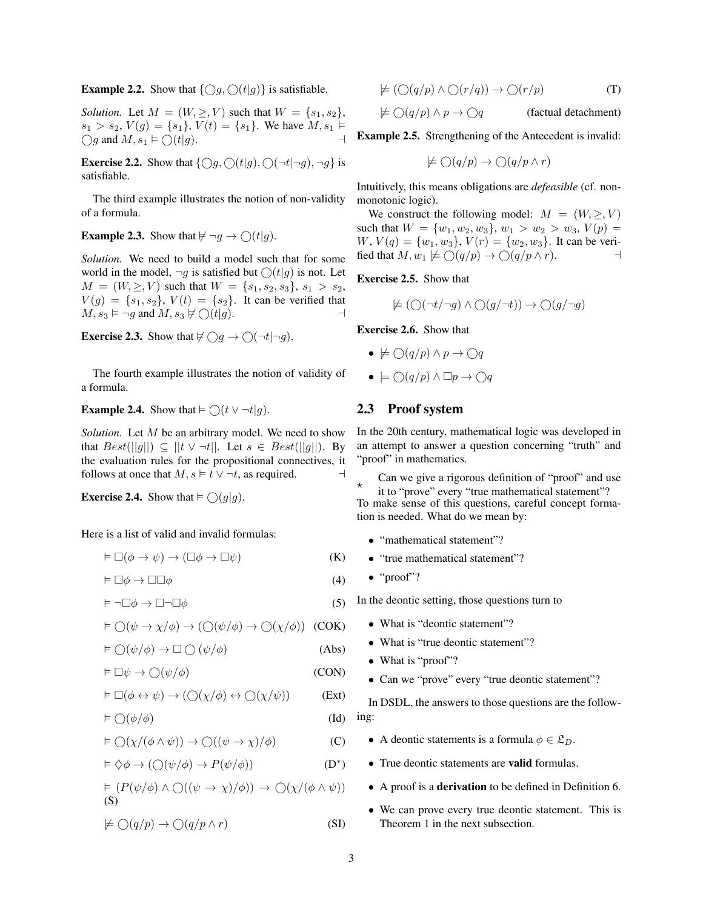**Example 2.2.** Show that  $\{ \bigcirc g, \bigcirc (t|g) \}$  is satisfiable.

*Solution.* Let  $M = (W, \geq, V)$  such that  $W = \{s_1, s_2\},\$  $s_1 > s_2$ ,  $V(g) = \{s_1\}$ ,  $V(t) = \{s_1\}$ . We have  $M, s_1 \models$  $\bigcirc$  and  $M$ ,  $s_1 \models \bigcirc (t|g)$ .

**Exercise 2.2.** Show that  $\{\bigcirc g, \bigcirc (t|g), \bigcirc (\neg t|\neg g), \neg g\}$  is satisfiable.

The third example illustrates the notion of non-validity of a formula.

**Example 2.3.** Show that  $\nvdash \neg g \rightarrow \bigcirc (t|g)$ .

*Solution.* We need to build a model such that for some world in the model,  $\neg g$  is satisfied but  $\bigcirc(t|g)$  is not. Let  $M = (W, \geq, V)$  such that  $W = \{s_1, s_2, s_3\}, s_1 > s_2$ ,  $V(g) = \{s_1, s_2\}, V(t) = \{s_2\}.$  It can be verified that  $M, s_3 \vDash \neg g$  and  $M, s_3 \not\vDash \bigcirc (t | g).$ 

**Exercise 2.3.** Show that  $\nvdash \bigcirc g \rightarrow \bigcirc(\neg t | \neg g)$ .

The fourth example illustrates the notion of validity of a formula.

### **Example 2.4.** Show that  $\models \bigcirc (t \vee \neg t | g)$ .

*Solution.* Let M be an arbitrary model. We need to show that  $Best(||g||) \subseteq ||t \vee \neg t||$ . Let  $s \in Best(||g||)$ . By the evaluation rules for the propositional connectives, it follows at once that  $M, s \models t \lor \neg t$ , as required.

**Exercise 2.4.** Show that  $\models \bigcirc(g|g)$ .

Here is a list of valid and invalid formulas:

$$
\vDash \Box(\phi \to \psi) \to (\Box \phi \to \Box \psi) \tag{K}
$$

$$
\vDash \Box \phi \to \Box \Box \phi \tag{4}
$$

$$
\models \neg \Box \phi \to \Box \neg \Box \phi \tag{5}
$$

$$
\vDash \bigcirc (\psi \to \chi/\phi) \to (\bigcirc (\psi/\phi) \to \bigcirc (\chi/\phi)) \quad (COK)
$$

$$
\vDash \bigcirc (\psi/\phi) \to \Box \bigcirc (\psi/\phi) \tag{Abs}
$$

$$
\vDash \Box \psi \to \bigcirc (\psi/\phi) \tag{CON}
$$

$$
\vDash \Box(\phi \leftrightarrow \psi) \rightarrow (\bigcirc(\chi/\phi) \leftrightarrow \bigcirc(\chi/\psi))
$$
 (Ext)

$$
\vDash \bigcirc (\phi/\phi) \tag{Id}
$$

$$
\vDash \bigcirc(\chi/(\phi \land \psi)) \to \bigcirc((\psi \to \chi)/\phi) \tag{C}
$$

$$
\vDash \Diamond \phi \to (\bigcirc (\psi/\phi) \to P(\psi/\phi))
$$
 (D\*)

$$
\vDash (P(\psi/\phi) \land \bigcirc ((\psi \to \chi)/\phi)) \to \bigcirc (\chi/(\phi \land \psi))
$$
  
(S)

$$
\not\models \bigcirc (q/p) \to \bigcirc (q/p \land r) \tag{SI}
$$

$$
\nvDash (\bigcirc (q/p) \land \bigcirc (r/q)) \to \bigcirc (r/p) \tag{T}
$$

$$
\not\models \bigcirc (q/p) \land p \to \bigcirc q \qquad \text{(factual detachment)}
$$

Example 2.5. Strengthening of the Antecedent is invalid:

$$
\not\models \bigcirc (q/p) \to \bigcirc (q/p \wedge r)
$$

Intuitively, this means obligations are *defeasible* (cf. nonmonotonic logic).

We construct the following model:  $M = (W, \geq, V)$ such that  $W = \{w_1, w_2, w_3\}, w_1 > w_2 > w_3, V(p) =$  $W, V(q) = \{w_1, w_3\}, V(r) = \{w_2, w_3\}.$  It can be verified that  $M, w_1 \not\models \bigcirc (q/p) \rightarrow \bigcirc (q/p \wedge r).$ 

Exercise 2.5. Show that

$$
\nvDash (\bigcirc (\neg t/\neg g) \land \bigcirc (g/\neg t)) \to \bigcirc (g/\neg g)
$$

Exercise 2.6. Show that

$$
\bullet \nvDash \bigcirc (q/p) \land p \to \bigcirc q
$$

$$
\bullet \ \models \bigcirc (q/p) \land \Box p \rightarrow \bigcirc q
$$

## 2.3 Proof system

In the 20th century, mathematical logic was developed in an attempt to answer a question concerning "truth" and "proof" in mathematics.

 $\star$ Can we give a rigorous definition of "proof" and use

it to "prove" every "true mathematical statement"? To make sense of this questions, careful concept formation is needed. What do we mean by:

- "mathematical statement"?
- "true mathematical statement"?
- "proof"?

In the deontic setting, those questions turn to

- What is "deontic statement"?
- What is "true deontic statement"?
- What is "proof"?
- Can we "prove" every "true deontic statement"?

In DSDL, the answers to those questions are the following:

- A deontic statements is a formula  $\phi \in \mathfrak{L}_D$ .
- True deontic statements are valid formulas.
- A proof is a derivation to be defined in Definition 6.
- We can prove every true deontic statement. This is Theorem 1 in the next subsection.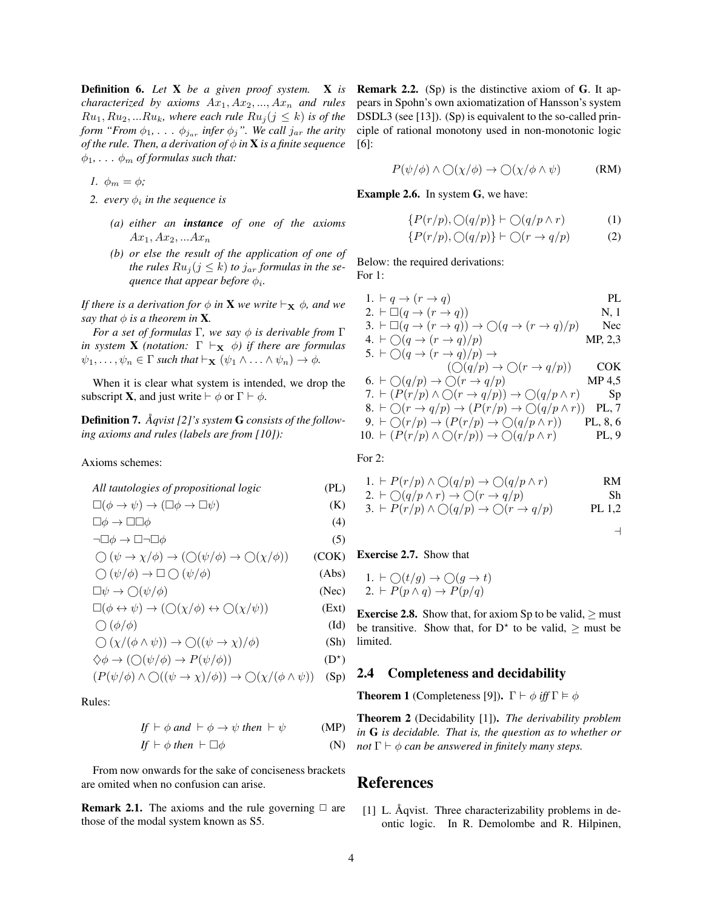Definition 6. *Let* X *be a given proof system.* X *is characterized by axioms*  $Ax_1, Ax_2, ..., Ax_n$  *and rules*  $Ru_1, Ru_2,...Ru_k$ , where each rule  $Ru_j (j \leq k)$  is of the *form "From*  $\phi_1, \ldots, \phi_{j_{ar}}$  *infer*  $\phi_j$ ". We call  $j_{ar}$  *the arity of the rule. Then, a derivation of*  $\phi$  *in* **X** *is a finite sequence*  $\phi_1, \ldots, \phi_m$  *of formulas such that:* 

*1.*  $\phi_m = \phi$ ;

- 2. every  $\phi_i$  in the sequence is
	- *(a) either an instance of one of the axioms*  $Ax_1, Ax_2,...Ax_n$
	- *(b) or else the result of the application of one of the rules*  $Ru_j$  ( $j \leq k$ ) *to*  $j_{ar}$  *formulas in the se-* $\emph{quence that appear before $\phi_i$}.$

*If there is a derivation for*  $\phi$  *in* **X** we write  $\vdash_{\mathbf{X}} \phi$ *, and we say that*  $\phi$  *is a theorem in* **X**.

*For a set of formulas* Γ*, we say* φ *is derivable from* Γ *in system* **X** *(notation:*  $\Gamma \vdash_{\mathbf{X}} \phi$ *) if there are formulas*  $\psi_1, \ldots, \psi_n \in \Gamma$  *such that*  $\vdash_{\mathbf{X}} (\psi_1 \wedge \ldots \wedge \psi_n) \to \phi$ *.* 

When it is clear what system is intended, we drop the subscript **X**, and just write  $\vdash \phi$  or  $\Gamma \vdash \phi$ .

Definition 7.  $\AA$ *qvist* [2]'s system **G** consists of the follow*ing axioms and rules (labels are from [10]):*

Axioms schemes:

*All tautologies of propositional logic* (PL)

$$
\Box(\phi \to \psi) \to (\Box \phi \to \Box \psi) \tag{K}
$$

$$
\Box \phi \to \Box \Box \phi \tag{4}
$$
\n
$$
\neg \Box \phi \to \Box \neg \Box \phi \tag{5}
$$

$$
\bigcirc (\psi \to \chi/\phi) \to (\bigcirc (\psi/\phi) \to \bigcirc (\chi/\phi)) \qquad (COK)
$$

$$
\bigcirc (\psi/\phi) \to \Box \bigcirc (\psi/\phi) \tag{Abs}
$$

$$
\Box \psi \to \bigcirc (\psi/\phi) \tag{Nec}
$$

$$
\Box(\phi \leftrightarrow \psi) \rightarrow (\bigcirc(\chi/\phi) \leftrightarrow \bigcirc(\chi/\psi))
$$
 (Ext)

$$
\bigcirc (\phi/\phi) \tag{Id}
$$

$$
\bigcirc (\chi/(\phi \land \psi)) \to \bigcirc ((\psi \to \chi)/\phi)
$$
 (Sh)

$$
\diamondsuit \phi \to (\bigcirc (\psi/\phi) \to P(\psi/\phi)) \tag{D*}
$$

$$
(P(\psi/\phi) \land \bigcirc ((\psi \to \chi)/\phi)) \to \bigcirc (\chi/(\phi \land \psi))
$$
 (Sp)

Rules:

$$
If \vdash \phi \text{ and } \vdash \phi \rightarrow \psi \text{ then } \vdash \psi \qquad (MP)
$$

$$
If \vdash \phi \ then \vdash \Box \phi \tag{N}
$$

From now onwards for the sake of conciseness brackets are omited when no confusion can arise.

**Remark 2.1.** The axioms and the rule governing  $\Box$  are those of the modal system known as S5.

Remark 2.2. (Sp) is the distinctive axiom of G. It appears in Spohn's own axiomatization of Hansson's system DSDL3 (see [13]). (Sp) is equivalent to the so-called principle of rational monotony used in non-monotonic logic [6]:

$$
P(\psi/\phi) \land \bigcirc (\chi/\phi) \to \bigcirc (\chi/\phi \land \psi) \tag{RM}
$$

Example 2.6. In system G, we have:

$$
\{P(r/p), \bigcirc(q/p)\} \vdash \bigcirc(q/p \land r) \tag{1}
$$

$$
\{P(r/p), \bigcirc (q/p)\} \vdash \bigcirc (r \to q/p) \tag{2}
$$

Below: the required derivations: For 1:

1. ` q → (r → q) PL 2. ` (q → (r → q)) N, 1 3. ` (q → (r → q)) → (q → (r → q)/p) Nec 4. ` (q → (r → q)/p) MP, 2,3 5. ` (q → (r → q)/p) → ( (q/p) → (r → q/p)) COK 6. ` (q/p) → (r → q/p) MP 4,5 7. ` (P(r/p) ∧ (r → q/p)) → (q/p ∧ r) Sp 8. ` (r → q/p) → (P(r/p) → (q/p ∧ r)) PL, 7 9. ` (r/p) → (P(r/p) → (q/p ∧ r)) PL, 8, 6 10. ` (P(r/p) ∧ (r/p)) → (q/p ∧ r) PL, 9

For 2:

1. 
$$
\vdash P(r/p) \land \bigcirc (q/p) \rightarrow \bigcirc (q/p \land r)
$$
 RM

2. 
$$
\vdash \bigcirc (q/p \land r) \to \bigcirc (r \to q/p)
$$
  
\n3.  $\vdash P(r/p) \land \bigcirc (q/p) \to \bigcirc (r \to q/p)$  PL 1,2

$$
\overline{a}
$$

#### Exercise 2.7. Show that

1. 
$$
\vdash \bigcirc(t/g) \rightarrow \bigcirc(g \rightarrow t)
$$
  
2.  $\vdash P(p \land q) \rightarrow P(p/q)$ 

**Exercise 2.8.** Show that, for axiom Sp to be valid,  $\geq$  must be transitive. Show that, for  $D^*$  to be valid,  $\geq$  must be limited.

#### 2.4 Completeness and decidability

**Theorem 1** (Completeness [9]).  $\Gamma \vdash \phi$  *iff*  $\Gamma \models \phi$ 

Theorem 2 (Decidability [1]). *The derivability problem in* G *is decidable. That is, the question as to whether or not*  $\Gamma \vdash \phi$  *can be answered in finitely many steps.* 

## References

 $[1]$  L. Aqvist. Three characterizability problems in deontic logic. In R. Demolombe and R. Hilpinen,